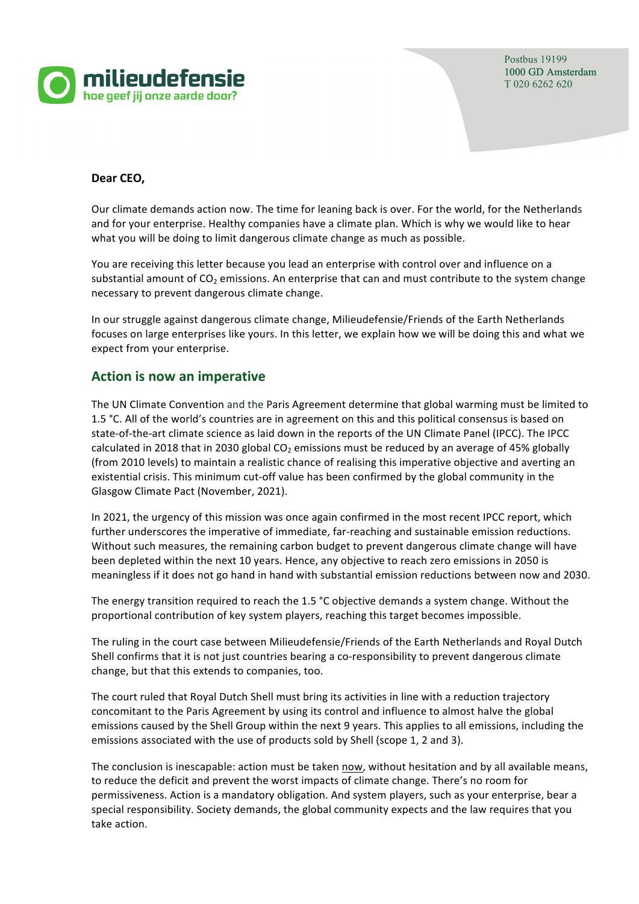

Postbus 19199 1000 GD Amsterdam T 020 6262 620

### **Dear CEO,**

Our climate demands action now. The time for leaning back is over. For the world, for the Netherlands and for your enterprise. Healthy companies have a climate plan. Which is why we would like to hear what you will be doing to limit dangerous climate change as much as possible.

You are receiving this letter because you lead an enterprise with control over and influence on a substantial amount of  $CO<sub>2</sub>$  emissions. An enterprise that can and must contribute to the system change necessary to prevent dangerous climate change.

In our struggle against dangerous climate change, Milieudefensie/Friends of the Earth Netherlands focuses on large enterprises like yours. In this letter, we explain how we will be doing this and what we expect from your enterprise.

# **Action is now an imperative**

The UN Climate Convention and the Paris Agreement determine that global warming must be limited to 1.5 °C. All of the world's countries are in agreement on this and this political consensus is based on state-of-the-art climate science as laid down in the reports of the UN Climate Panel (IPCC). The IPCC calculated in 2018 that in 2030 global  $CO<sub>2</sub>$  emissions must be reduced by an average of 45% globally (from 2010 levels) to maintain a realistic chance of realising this imperative objective and averting an existential crisis. This minimum cut-off value has been confirmed by the global community in the Glasgow Climate Pact (November, 2021).

In 2021, the urgency of this mission was once again confirmed in the most recent IPCC report, which further underscores the imperative of immediate, far-reaching and sustainable emission reductions. Without such measures, the remaining carbon budget to prevent dangerous climate change will have been depleted within the next 10 years. Hence, any objective to reach zero emissions in 2050 is meaningless if it does not go hand in hand with substantial emission reductions between now and 2030.

The energy transition required to reach the 1.5  $^{\circ}$ C objective demands a system change. Without the proportional contribution of key system players, reaching this target becomes impossible.

The ruling in the court case between Milieudefensie/Friends of the Earth Netherlands and Royal Dutch Shell confirms that it is not just countries bearing a co-responsibility to prevent dangerous climate change, but that this extends to companies, too.

The court ruled that Royal Dutch Shell must bring its activities in line with a reduction trajectory concomitant to the Paris Agreement by using its control and influence to almost halve the global emissions caused by the Shell Group within the next 9 years. This applies to all emissions, including the emissions associated with the use of products sold by Shell (scope 1, 2 and 3).

The conclusion is inescapable: action must be taken now, without hesitation and by all available means, to reduce the deficit and prevent the worst impacts of climate change. There's no room for permissiveness. Action is a mandatory obligation. And system players, such as your enterprise, bear a special responsibility. Society demands, the global community expects and the law requires that you take action.